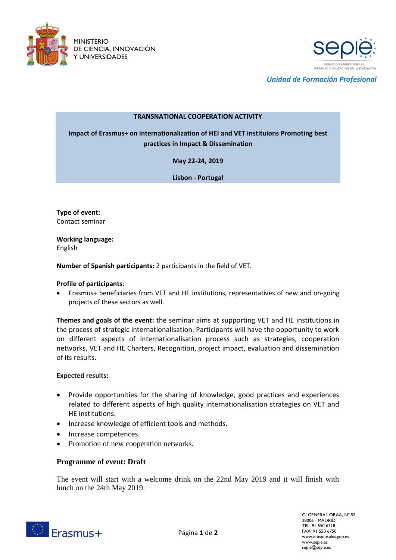



*Unidad de Formación Profesional*

## **TRANSNATIONAL COOPERATION ACTIVITY**

**Impact of Erasmus+ on internationalization of HEI and VET instituions Promoting best practices in Impact & Dissemination**

**May 22-24, 2019**

**Lisbon - Portugal**

**Type of event:** Contact seminar

**Working language:**  English

**Number of Spanish participants:** 2 participants in the field of VET.

## **Profile of participants**:

 Erasmus+ beneficiaries from VET and HE institutions, representatives of new and on-going projects of these sectors as well.

**Themes and goals of the event:** the seminar aims at supporting VET and HE institutions in the process of strategic internationalisation. Participants will have the opportunity to work on different aspects of internationalisation process such as strategies, cooperation networks, VET and HE Charters, Recognition, project impact, evaluation and dissemination of its results.

## **Expected results:**

- Provide opportunities for the sharing of knowledge, good practices and experiences related to different aspects of high quality internationalisation strategies on VET and HE institutions.
- Increase knowledge of efficient tools and methods.
- Increase competences.
- Promotion of new cooperation networks.

## **Programme of event: Draft**

The event will start with a welcome drink on the 22nd May 2019 and it will finish with lunch on the 24th May 2019.